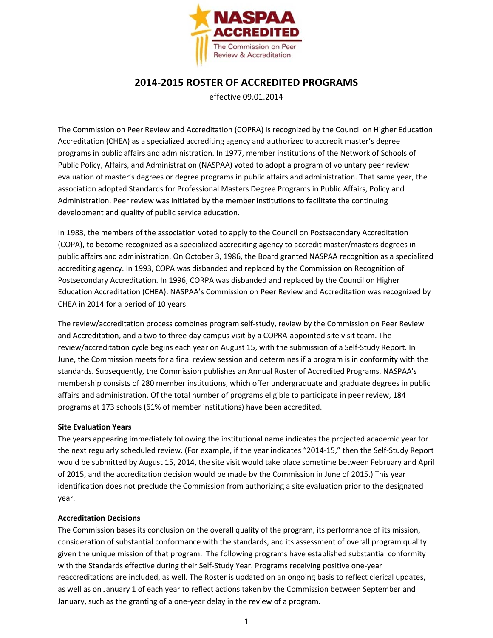

## **2014-2015 ROSTER OF ACCREDITED PROGRAMS**

effective 09.01.2014

The Commission on Peer Review and Accreditation (COPRA) is recognized by the Council on Higher Education Accreditation (CHEA) as a specialized accrediting agency and authorized to accredit master's degree programs in public affairs and administration. In 1977, member institutions of the Network of Schools of Public Policy, Affairs, and Administration (NASPAA) voted to adopt a program of voluntary peer review evaluation of master's degrees or degree programs in public affairs and administration. That same year, the association adopted Standards for Professional Masters Degree Programs in Public Affairs, Policy and Administration. Peer review was initiated by the member institutions to facilitate the continuing development and quality of public service education.

In 1983, the members of the association voted to apply to the Council on Postsecondary Accreditation (COPA), to become recognized as a specialized accrediting agency to accredit master/masters degrees in public affairs and administration. On October 3, 1986, the Board granted NASPAA recognition as a specialized accrediting agency. In 1993, COPA was disbanded and replaced by the Commission on Recognition of Postsecondary Accreditation. In 1996, CORPA was disbanded and replaced by the Council on Higher Education Accreditation (CHEA). NASPAA's Commission on Peer Review and Accreditation was recognized by CHEA in 2014 for a period of 10 years.

The review/accreditation process combines program self-study, review by the Commission on Peer Review and Accreditation, and a two to three day campus visit by a COPRA-appointed site visit team. The review/accreditation cycle begins each year on August 15, with the submission of a Self-Study Report. In June, the Commission meets for a final review session and determines if a program is in conformity with the standards. Subsequently, the Commission publishes an Annual Roster of Accredited Programs. NASPAA's membership consists of 280 member institutions, which offer undergraduate and graduate degrees in public affairs and administration. Of the total number of programs eligible to participate in peer review, 184 programs at 173 schools (61% of member institutions) have been accredited.

## **Site Evaluation Years**

The years appearing immediately following the institutional name indicates the projected academic year for the next regularly scheduled review. (For example, if the year indicates "2014-15," then the Self-Study Report would be submitted by August 15, 2014, the site visit would take place sometime between February and April of 2015, and the accreditation decision would be made by the Commission in June of 2015.) This year identification does not preclude the Commission from authorizing a site evaluation prior to the designated year.

## **Accreditation Decisions**

The Commission bases its conclusion on the overall quality of the program, its performance of its mission, consideration of substantial conformance with the standards, and its assessment of overall program quality given the unique mission of that program. The following programs have established substantial conformity with the Standards effective during their Self-Study Year. Programs receiving positive one-year reaccreditations are included, as well. The Roster is updated on an ongoing basis to reflect clerical updates, as well as on January 1 of each year to reflect actions taken by the Commission between September and January, such as the granting of a one-year delay in the review of a program.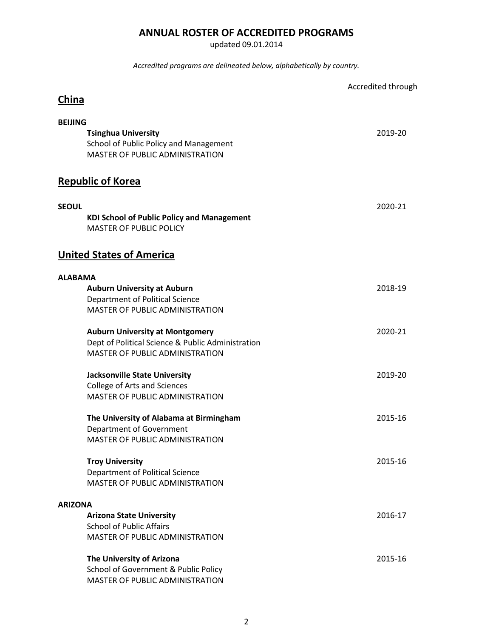## **ANNUAL ROSTER OF ACCREDITED PROGRAMS**

updated 09.01.2014

*Accredited programs are delineated below, alphabetically by country.*

|                                                                                                                | Accredited through |
|----------------------------------------------------------------------------------------------------------------|--------------------|
| China                                                                                                          |                    |
| <b>BEIJING</b>                                                                                                 |                    |
| <b>Tsinghua University</b><br>School of Public Policy and Management<br><b>MASTER OF PUBLIC ADMINISTRATION</b> | 2019-20            |
| <b>Republic of Korea</b>                                                                                       |                    |
| <b>SEOUL</b>                                                                                                   | 2020-21            |
| <b>KDI School of Public Policy and Management</b><br><b>MASTER OF PUBLIC POLICY</b>                            |                    |
| <b>United States of America</b>                                                                                |                    |
| <b>ALABAMA</b>                                                                                                 |                    |
| <b>Auburn University at Auburn</b>                                                                             | 2018-19            |
| Department of Political Science                                                                                |                    |
| <b>MASTER OF PUBLIC ADMINISTRATION</b>                                                                         |                    |
| <b>Auburn University at Montgomery</b>                                                                         | 2020-21            |
| Dept of Political Science & Public Administration                                                              |                    |
| MASTER OF PUBLIC ADMINISTRATION                                                                                |                    |
| <b>Jacksonville State University</b>                                                                           | 2019-20            |
| <b>College of Arts and Sciences</b>                                                                            |                    |
| MASTER OF PUBLIC ADMINISTRATION                                                                                |                    |
| The University of Alabama at Birmingham                                                                        | 2015-16            |
| Department of Government                                                                                       |                    |
| MASTER OF PUBLIC ADMINISTRATION                                                                                |                    |
| <b>Troy University</b>                                                                                         | 2015-16            |
| Department of Political Science                                                                                |                    |
| MASTER OF PUBLIC ADMINISTRATION                                                                                |                    |
| <b>ARIZONA</b>                                                                                                 |                    |
| <b>Arizona State University</b>                                                                                | 2016-17            |
| <b>School of Public Affairs</b>                                                                                |                    |
| MASTER OF PUBLIC ADMINISTRATION                                                                                |                    |
| The University of Arizona                                                                                      | 2015-16            |
| School of Government & Public Policy                                                                           |                    |
| MASTER OF PUBLIC ADMINISTRATION                                                                                |                    |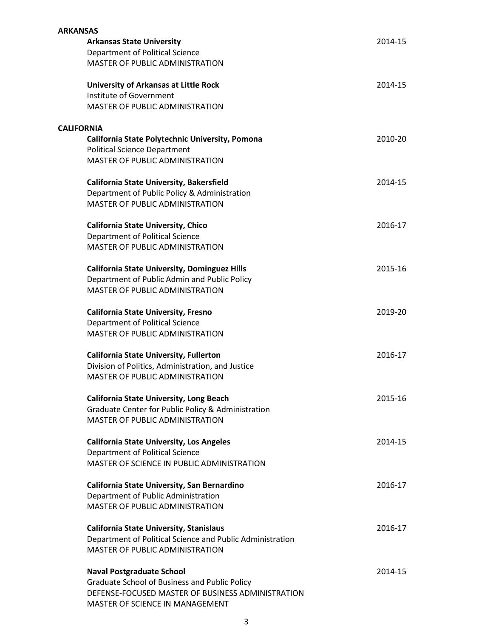| <b>ARKANSAS</b>   |                                                           |         |
|-------------------|-----------------------------------------------------------|---------|
|                   | <b>Arkansas State University</b>                          | 2014-15 |
|                   | Department of Political Science                           |         |
|                   | MASTER OF PUBLIC ADMINISTRATION                           |         |
|                   | <b>University of Arkansas at Little Rock</b>              | 2014-15 |
|                   | Institute of Government                                   |         |
|                   | <b>MASTER OF PUBLIC ADMINISTRATION</b>                    |         |
| <b>CALIFORNIA</b> |                                                           |         |
|                   | California State Polytechnic University, Pomona           | 2010-20 |
|                   | <b>Political Science Department</b>                       |         |
|                   | MASTER OF PUBLIC ADMINISTRATION                           |         |
|                   | California State University, Bakersfield                  | 2014-15 |
|                   | Department of Public Policy & Administration              |         |
|                   | MASTER OF PUBLIC ADMINISTRATION                           |         |
|                   | <b>California State University, Chico</b>                 | 2016-17 |
|                   | Department of Political Science                           |         |
|                   | <b>MASTER OF PUBLIC ADMINISTRATION</b>                    |         |
|                   | <b>California State University, Dominguez Hills</b>       | 2015-16 |
|                   | Department of Public Admin and Public Policy              |         |
|                   | <b>MASTER OF PUBLIC ADMINISTRATION</b>                    |         |
|                   | <b>California State University, Fresno</b>                | 2019-20 |
|                   | Department of Political Science                           |         |
|                   | <b>MASTER OF PUBLIC ADMINISTRATION</b>                    |         |
|                   | <b>California State University, Fullerton</b>             | 2016-17 |
|                   | Division of Politics, Administration, and Justice         |         |
|                   | MASTER OF PUBLIC ADMINISTRATION                           |         |
|                   | <b>California State University, Long Beach</b>            | 2015-16 |
|                   | Graduate Center for Public Policy & Administration        |         |
|                   | MASTER OF PUBLIC ADMINISTRATION                           |         |
|                   | <b>California State University, Los Angeles</b>           | 2014-15 |
|                   | Department of Political Science                           |         |
|                   | MASTER OF SCIENCE IN PUBLIC ADMINISTRATION                |         |
|                   | California State University, San Bernardino               | 2016-17 |
|                   | Department of Public Administration                       |         |
|                   | <b>MASTER OF PUBLIC ADMINISTRATION</b>                    |         |
|                   | <b>California State University, Stanislaus</b>            | 2016-17 |
|                   | Department of Political Science and Public Administration |         |
|                   | <b>MASTER OF PUBLIC ADMINISTRATION</b>                    |         |
|                   | <b>Naval Postgraduate School</b>                          | 2014-15 |
|                   | <b>Graduate School of Business and Public Policy</b>      |         |
|                   | DEFENSE-FOCUSED MASTER OF BUSINESS ADMINISTRATION         |         |
|                   | MASTER OF SCIENCE IN MANAGEMENT                           |         |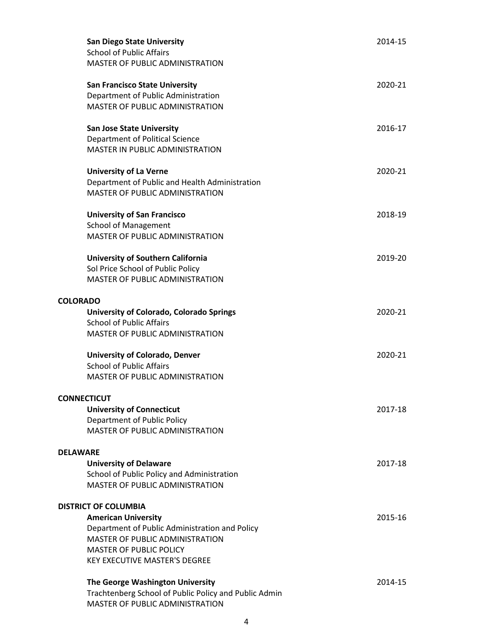| <b>San Diego State University</b><br><b>School of Public Affairs</b><br>MASTER OF PUBLIC ADMINISTRATION                                                                                                                  | 2014-15 |
|--------------------------------------------------------------------------------------------------------------------------------------------------------------------------------------------------------------------------|---------|
| <b>San Francisco State University</b><br>Department of Public Administration<br><b>MASTER OF PUBLIC ADMINISTRATION</b>                                                                                                   | 2020-21 |
| <b>San Jose State University</b><br>Department of Political Science<br>MASTER IN PUBLIC ADMINISTRATION                                                                                                                   | 2016-17 |
| <b>University of La Verne</b><br>Department of Public and Health Administration<br><b>MASTER OF PUBLIC ADMINISTRATION</b>                                                                                                | 2020-21 |
| <b>University of San Francisco</b><br><b>School of Management</b><br>MASTER OF PUBLIC ADMINISTRATION                                                                                                                     | 2018-19 |
| <b>University of Southern California</b><br>Sol Price School of Public Policy<br>MASTER OF PUBLIC ADMINISTRATION                                                                                                         | 2019-20 |
| <b>COLORADO</b><br>University of Colorado, Colorado Springs<br><b>School of Public Affairs</b><br>MASTER OF PUBLIC ADMINISTRATION                                                                                        | 2020-21 |
| <b>University of Colorado, Denver</b><br><b>School of Public Affairs</b><br><b>MASTER OF PUBLIC ADMINISTRATION</b>                                                                                                       | 2020-21 |
| <b>CONNECTICUT</b><br><b>University of Connecticut</b><br>Department of Public Policy<br><b>MASTER OF PUBLIC ADMINISTRATION</b>                                                                                          | 2017-18 |
| <b>DELAWARE</b><br><b>University of Delaware</b><br>School of Public Policy and Administration<br>MASTER OF PUBLIC ADMINISTRATION                                                                                        | 2017-18 |
| <b>DISTRICT OF COLUMBIA</b><br><b>American University</b><br>Department of Public Administration and Policy<br>MASTER OF PUBLIC ADMINISTRATION<br><b>MASTER OF PUBLIC POLICY</b><br><b>KEY EXECUTIVE MASTER'S DEGREE</b> | 2015-16 |
| The George Washington University<br>Trachtenberg School of Public Policy and Public Admin<br>MASTER OF PUBLIC ADMINISTRATION                                                                                             | 2014-15 |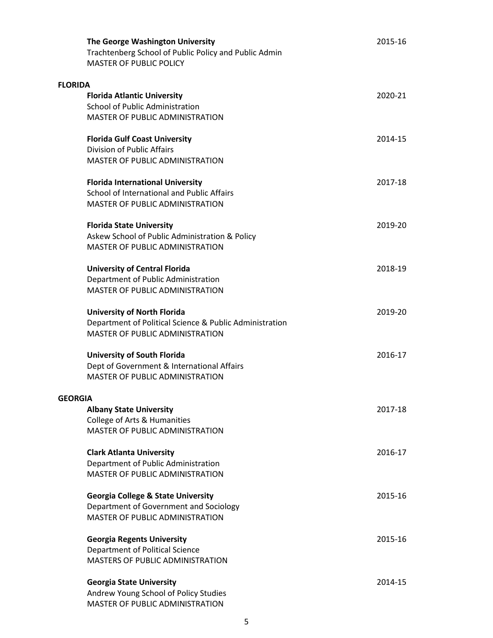|                | The George Washington University<br>Trachtenberg School of Public Policy and Public Admin<br><b>MASTER OF PUBLIC POLICY</b> | 2015-16 |
|----------------|-----------------------------------------------------------------------------------------------------------------------------|---------|
| <b>FLORIDA</b> |                                                                                                                             |         |
|                | <b>Florida Atlantic University</b>                                                                                          | 2020-21 |
|                | <b>School of Public Administration</b>                                                                                      |         |
|                | <b>MASTER OF PUBLIC ADMINISTRATION</b>                                                                                      |         |
|                | <b>Florida Gulf Coast University</b>                                                                                        | 2014-15 |
|                | Division of Public Affairs                                                                                                  |         |
|                | MASTER OF PUBLIC ADMINISTRATION                                                                                             |         |
|                | <b>Florida International University</b>                                                                                     | 2017-18 |
|                | School of International and Public Affairs                                                                                  |         |
|                | <b>MASTER OF PUBLIC ADMINISTRATION</b>                                                                                      |         |
|                | <b>Florida State University</b>                                                                                             | 2019-20 |
|                | Askew School of Public Administration & Policy                                                                              |         |
|                | <b>MASTER OF PUBLIC ADMINISTRATION</b>                                                                                      |         |
|                | <b>University of Central Florida</b>                                                                                        | 2018-19 |
|                | Department of Public Administration                                                                                         |         |
|                | <b>MASTER OF PUBLIC ADMINISTRATION</b>                                                                                      |         |
|                | <b>University of North Florida</b>                                                                                          | 2019-20 |
|                | Department of Political Science & Public Administration                                                                     |         |
|                | <b>MASTER OF PUBLIC ADMINISTRATION</b>                                                                                      |         |
|                | <b>University of South Florida</b>                                                                                          | 2016-17 |
|                | Dept of Government & International Affairs                                                                                  |         |
|                | <b>MASTER OF PUBLIC ADMINISTRATION</b>                                                                                      |         |
| <b>GEORGIA</b> |                                                                                                                             |         |
|                | <b>Albany State University</b>                                                                                              | 2017-18 |
|                | College of Arts & Humanities                                                                                                |         |
|                | <b>MASTER OF PUBLIC ADMINISTRATION</b>                                                                                      |         |
|                | <b>Clark Atlanta University</b>                                                                                             | 2016-17 |
|                | Department of Public Administration                                                                                         |         |
|                | <b>MASTER OF PUBLIC ADMINISTRATION</b>                                                                                      |         |
|                | <b>Georgia College &amp; State University</b>                                                                               | 2015-16 |
|                | Department of Government and Sociology                                                                                      |         |
|                | MASTER OF PUBLIC ADMINISTRATION                                                                                             |         |
|                | <b>Georgia Regents University</b>                                                                                           | 2015-16 |
|                | Department of Political Science                                                                                             |         |
|                | <b>MASTERS OF PUBLIC ADMINISTRATION</b>                                                                                     |         |
|                | <b>Georgia State University</b>                                                                                             | 2014-15 |
|                | Andrew Young School of Policy Studies                                                                                       |         |
|                | MASTER OF PUBLIC ADMINISTRATION                                                                                             |         |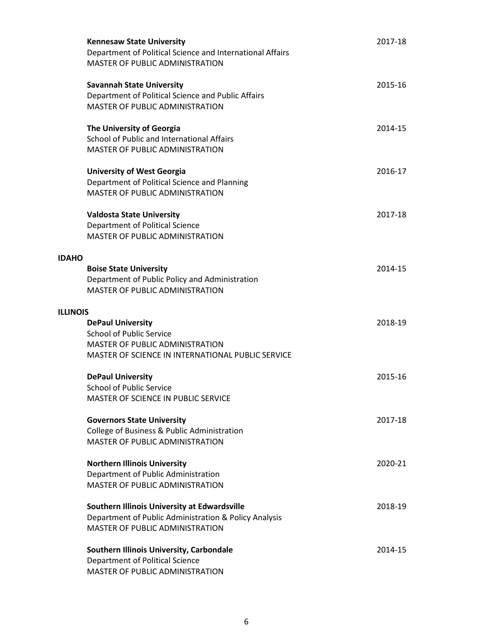|                 | <b>Kennesaw State University</b><br>Department of Political Science and International Affairs<br><b>MASTER OF PUBLIC ADMINISTRATION</b>                    | 2017-18 |
|-----------------|------------------------------------------------------------------------------------------------------------------------------------------------------------|---------|
|                 | <b>Savannah State University</b><br>Department of Political Science and Public Affairs<br>MASTER OF PUBLIC ADMINISTRATION                                  | 2015-16 |
|                 | The University of Georgia<br>School of Public and International Affairs<br><b>MASTER OF PUBLIC ADMINISTRATION</b>                                          | 2014-15 |
|                 | <b>University of West Georgia</b><br>Department of Political Science and Planning<br><b>MASTER OF PUBLIC ADMINISTRATION</b>                                | 2016-17 |
|                 | <b>Valdosta State University</b><br>Department of Political Science<br><b>MASTER OF PUBLIC ADMINISTRATION</b>                                              | 2017-18 |
| <b>IDAHO</b>    |                                                                                                                                                            |         |
|                 | <b>Boise State University</b><br>Department of Public Policy and Administration<br><b>MASTER OF PUBLIC ADMINISTRATION</b>                                  | 2014-15 |
| <b>ILLINOIS</b> |                                                                                                                                                            |         |
|                 | <b>DePaul University</b><br><b>School of Public Service</b><br><b>MASTER OF PUBLIC ADMINISTRATION</b><br>MASTER OF SCIENCE IN INTERNATIONAL PUBLIC SERVICE | 2018-19 |
|                 | <b>DePaul University</b><br><b>School of Public Service</b><br><b>MASTER OF SCIENCE IN PUBLIC SERVICE</b>                                                  | 2015-16 |
|                 | <b>Governors State University</b><br>College of Business & Public Administration<br><b>MASTER OF PUBLIC ADMINISTRATION</b>                                 | 2017-18 |
|                 | <b>Northern Illinois University</b><br>Department of Public Administration<br><b>MASTER OF PUBLIC ADMINISTRATION</b>                                       | 2020-21 |
|                 | Southern Illinois University at Edwardsville<br>Department of Public Administration & Policy Analysis<br>MASTER OF PUBLIC ADMINISTRATION                   | 2018-19 |
|                 | Southern Illinois University, Carbondale<br>Department of Political Science<br>MASTER OF PUBLIC ADMINISTRATION                                             | 2014-15 |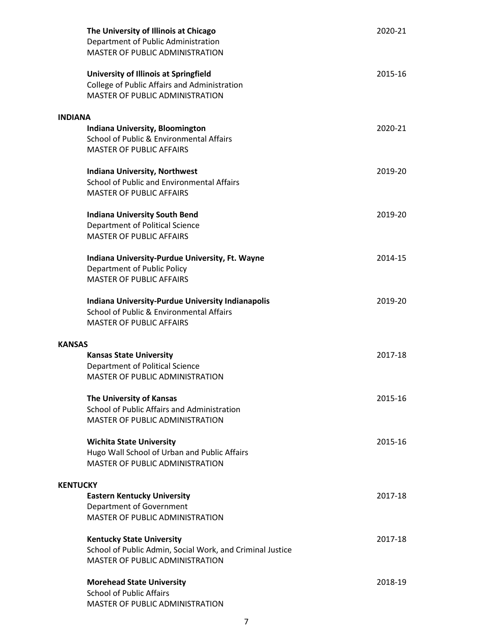| The University of Illinois at Chicago<br>Department of Public Administration<br>MASTER OF PUBLIC ADMINISTRATION                        | 2020-21 |
|----------------------------------------------------------------------------------------------------------------------------------------|---------|
| <b>University of Illinois at Springfield</b><br>College of Public Affairs and Administration<br><b>MASTER OF PUBLIC ADMINISTRATION</b> | 2015-16 |
| <b>INDIANA</b>                                                                                                                         |         |
| Indiana University, Bloomington<br>School of Public & Environmental Affairs<br><b>MASTER OF PUBLIC AFFAIRS</b>                         | 2020-21 |
| <b>Indiana University, Northwest</b>                                                                                                   | 2019-20 |
| School of Public and Environmental Affairs                                                                                             |         |
| <b>MASTER OF PUBLIC AFFAIRS</b>                                                                                                        |         |
| <b>Indiana University South Bend</b><br>Department of Political Science<br><b>MASTER OF PUBLIC AFFAIRS</b>                             | 2019-20 |
|                                                                                                                                        |         |
| Indiana University-Purdue University, Ft. Wayne                                                                                        | 2014-15 |
| <b>Department of Public Policy</b><br><b>MASTER OF PUBLIC AFFAIRS</b>                                                                  |         |
|                                                                                                                                        |         |
| Indiana University-Purdue University Indianapolis<br>School of Public & Environmental Affairs<br><b>MASTER OF PUBLIC AFFAIRS</b>       | 2019-20 |
|                                                                                                                                        |         |
| <b>KANSAS</b>                                                                                                                          |         |
| <b>Kansas State University</b>                                                                                                         | 2017-18 |
| Department of Political Science<br>MASTER OF PUBLIC ADMINISTRATION                                                                     |         |
|                                                                                                                                        |         |
| The University of Kansas                                                                                                               | 2015-16 |
| School of Public Affairs and Administration                                                                                            |         |
| <b>MASTER OF PUBLIC ADMINISTRATION</b>                                                                                                 |         |
| <b>Wichita State University</b>                                                                                                        | 2015-16 |
| Hugo Wall School of Urban and Public Affairs                                                                                           |         |
| MASTER OF PUBLIC ADMINISTRATION                                                                                                        |         |
| <b>KENTUCKY</b>                                                                                                                        |         |
| <b>Eastern Kentucky University</b>                                                                                                     | 2017-18 |
| Department of Government                                                                                                               |         |
| MASTER OF PUBLIC ADMINISTRATION                                                                                                        |         |
|                                                                                                                                        |         |
| <b>Kentucky State University</b><br>School of Public Admin, Social Work, and Criminal Justice                                          | 2017-18 |
| <b>MASTER OF PUBLIC ADMINISTRATION</b>                                                                                                 |         |
|                                                                                                                                        | 2018-19 |
| <b>Morehead State University</b><br><b>School of Public Affairs</b>                                                                    |         |
| MASTER OF PUBLIC ADMINISTRATION                                                                                                        |         |
|                                                                                                                                        |         |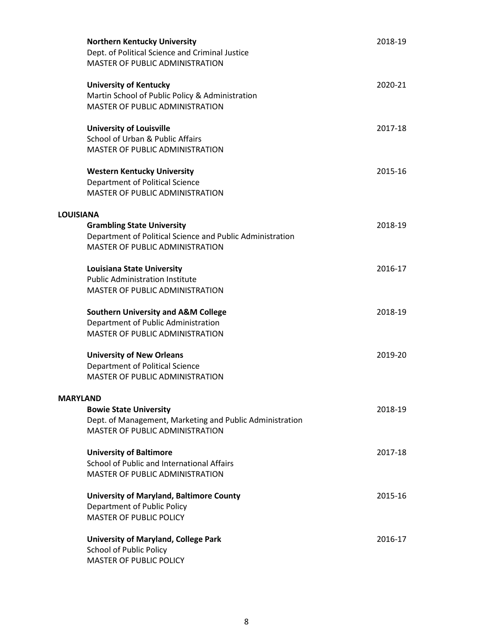| <b>Northern Kentucky University</b><br>Dept. of Political Science and Criminal Justice<br><b>MASTER OF PUBLIC ADMINISTRATION</b>                             | 2018-19 |
|--------------------------------------------------------------------------------------------------------------------------------------------------------------|---------|
| <b>University of Kentucky</b><br>Martin School of Public Policy & Administration<br><b>MASTER OF PUBLIC ADMINISTRATION</b>                                   | 2020-21 |
| <b>University of Louisville</b><br>School of Urban & Public Affairs<br>MASTER OF PUBLIC ADMINISTRATION                                                       | 2017-18 |
| <b>Western Kentucky University</b><br>Department of Political Science<br><b>MASTER OF PUBLIC ADMINISTRATION</b>                                              | 2015-16 |
| <b>LOUISIANA</b><br><b>Grambling State University</b><br>Department of Political Science and Public Administration<br><b>MASTER OF PUBLIC ADMINISTRATION</b> | 2018-19 |
| <b>Louisiana State University</b><br><b>Public Administration Institute</b><br><b>MASTER OF PUBLIC ADMINISTRATION</b>                                        | 2016-17 |
| <b>Southern University and A&amp;M College</b><br>Department of Public Administration<br><b>MASTER OF PUBLIC ADMINISTRATION</b>                              | 2018-19 |
| <b>University of New Orleans</b><br>Department of Political Science<br><b>MASTER OF PUBLIC ADMINISTRATION</b>                                                | 2019-20 |
| <b>MARYLAND</b><br><b>Bowie State University</b><br>Dept. of Management, Marketing and Public Administration<br><b>MASTER OF PUBLIC ADMINISTRATION</b>       | 2018-19 |
| <b>University of Baltimore</b><br>School of Public and International Affairs<br><b>MASTER OF PUBLIC ADMINISTRATION</b>                                       | 2017-18 |
| <b>University of Maryland, Baltimore County</b><br><b>Department of Public Policy</b><br><b>MASTER OF PUBLIC POLICY</b>                                      | 2015-16 |
| <b>University of Maryland, College Park</b><br><b>School of Public Policy</b><br><b>MASTER OF PUBLIC POLICY</b>                                              | 2016-17 |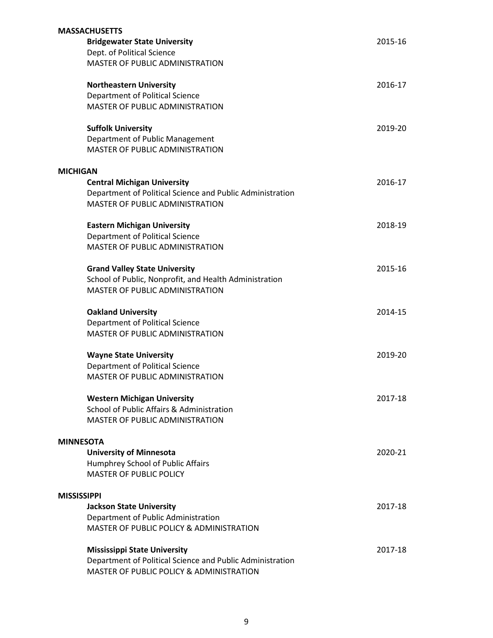|                 | <b>MASSACHUSETTS</b>                                                                                |         |
|-----------------|-----------------------------------------------------------------------------------------------------|---------|
|                 | <b>Bridgewater State University</b>                                                                 | 2015-16 |
|                 | Dept. of Political Science                                                                          |         |
|                 | MASTER OF PUBLIC ADMINISTRATION                                                                     |         |
|                 | <b>Northeastern University</b>                                                                      | 2016-17 |
|                 | Department of Political Science                                                                     |         |
|                 | <b>MASTER OF PUBLIC ADMINISTRATION</b>                                                              |         |
|                 | <b>Suffolk University</b>                                                                           | 2019-20 |
|                 | Department of Public Management                                                                     |         |
|                 | MASTER OF PUBLIC ADMINISTRATION                                                                     |         |
| <b>MICHIGAN</b> |                                                                                                     |         |
|                 | <b>Central Michigan University</b>                                                                  | 2016-17 |
|                 | Department of Political Science and Public Administration<br><b>MASTER OF PUBLIC ADMINISTRATION</b> |         |
|                 | <b>Eastern Michigan University</b>                                                                  | 2018-19 |
|                 | Department of Political Science                                                                     |         |
|                 | <b>MASTER OF PUBLIC ADMINISTRATION</b>                                                              |         |
|                 | <b>Grand Valley State University</b>                                                                | 2015-16 |
|                 | School of Public, Nonprofit, and Health Administration                                              |         |
|                 | <b>MASTER OF PUBLIC ADMINISTRATION</b>                                                              |         |
|                 | <b>Oakland University</b>                                                                           | 2014-15 |
|                 | Department of Political Science                                                                     |         |
|                 | MASTER OF PUBLIC ADMINISTRATION                                                                     |         |
|                 | <b>Wayne State University</b>                                                                       | 2019-20 |
|                 | <b>Department of Political Science</b>                                                              |         |
|                 | <b>MASTER OF PUBLIC ADMINISTRATION</b>                                                              |         |
|                 | <b>Western Michigan University</b>                                                                  | 2017-18 |
|                 | School of Public Affairs & Administration                                                           |         |
|                 | <b>MASTER OF PUBLIC ADMINISTRATION</b>                                                              |         |
|                 | <b>MINNESOTA</b>                                                                                    |         |
|                 | <b>University of Minnesota</b>                                                                      | 2020-21 |
|                 | Humphrey School of Public Affairs                                                                   |         |
|                 | <b>MASTER OF PUBLIC POLICY</b>                                                                      |         |
|                 | <b>MISSISSIPPI</b>                                                                                  |         |
|                 | <b>Jackson State University</b>                                                                     | 2017-18 |
|                 | Department of Public Administration                                                                 |         |
|                 | MASTER OF PUBLIC POLICY & ADMINISTRATION                                                            |         |
|                 | <b>Mississippi State University</b>                                                                 | 2017-18 |
|                 | Department of Political Science and Public Administration                                           |         |
|                 | MASTER OF PUBLIC POLICY & ADMINISTRATION                                                            |         |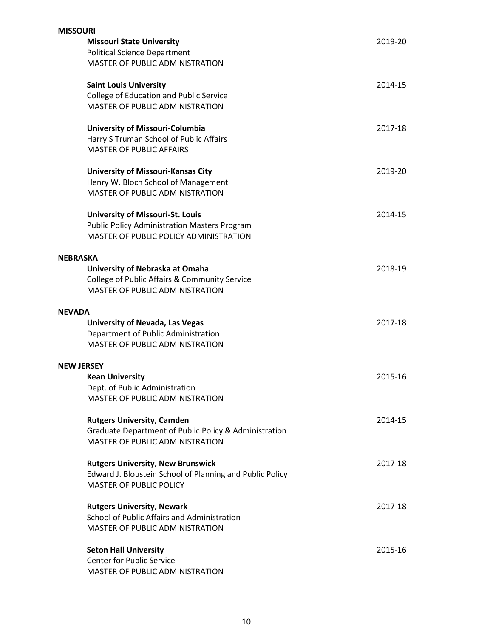| <b>MISSOURI</b>   |                                                          |         |
|-------------------|----------------------------------------------------------|---------|
|                   | <b>Missouri State University</b>                         | 2019-20 |
|                   | <b>Political Science Department</b>                      |         |
|                   | MASTER OF PUBLIC ADMINISTRATION                          |         |
|                   | <b>Saint Louis University</b>                            | 2014-15 |
|                   | College of Education and Public Service                  |         |
|                   | <b>MASTER OF PUBLIC ADMINISTRATION</b>                   |         |
|                   | University of Missouri-Columbia                          | 2017-18 |
|                   | Harry S Truman School of Public Affairs                  |         |
|                   | <b>MASTER OF PUBLIC AFFAIRS</b>                          |         |
|                   | <b>University of Missouri-Kansas City</b>                | 2019-20 |
|                   | Henry W. Bloch School of Management                      |         |
|                   | <b>MASTER OF PUBLIC ADMINISTRATION</b>                   |         |
|                   | <b>University of Missouri-St. Louis</b>                  | 2014-15 |
|                   | <b>Public Policy Administration Masters Program</b>      |         |
|                   | MASTER OF PUBLIC POLICY ADMINISTRATION                   |         |
| <b>NEBRASKA</b>   |                                                          |         |
|                   | University of Nebraska at Omaha                          | 2018-19 |
|                   | College of Public Affairs & Community Service            |         |
|                   | <b>MASTER OF PUBLIC ADMINISTRATION</b>                   |         |
| <b>NEVADA</b>     |                                                          |         |
|                   | <b>University of Nevada, Las Vegas</b>                   | 2017-18 |
|                   | Department of Public Administration                      |         |
|                   | <b>MASTER OF PUBLIC ADMINISTRATION</b>                   |         |
| <b>NEW JERSEY</b> |                                                          |         |
|                   | <b>Kean University</b>                                   | 2015-16 |
|                   | Dept. of Public Administration                           |         |
|                   | <b>MASTER OF PUBLIC ADMINISTRATION</b>                   |         |
|                   | <b>Rutgers University, Camden</b>                        | 2014-15 |
|                   | Graduate Department of Public Policy & Administration    |         |
|                   | MASTER OF PUBLIC ADMINISTRATION                          |         |
|                   | <b>Rutgers University, New Brunswick</b>                 | 2017-18 |
|                   | Edward J. Bloustein School of Planning and Public Policy |         |
|                   | <b>MASTER OF PUBLIC POLICY</b>                           |         |
|                   | <b>Rutgers University, Newark</b>                        | 2017-18 |
|                   | School of Public Affairs and Administration              |         |
|                   | MASTER OF PUBLIC ADMINISTRATION                          |         |
|                   | <b>Seton Hall University</b>                             | 2015-16 |
|                   | <b>Center for Public Service</b>                         |         |
|                   | MASTER OF PUBLIC ADMINISTRATION                          |         |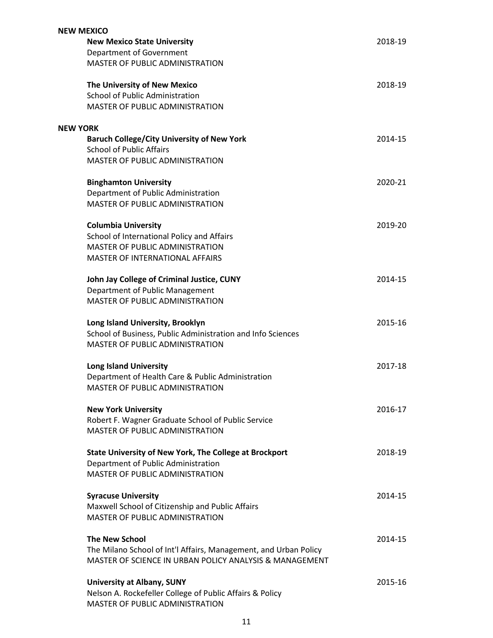| <b>NEW MEXICO</b>                                                                                                           |         |  |
|-----------------------------------------------------------------------------------------------------------------------------|---------|--|
| <b>New Mexico State University</b>                                                                                          | 2018-19 |  |
| Department of Government                                                                                                    |         |  |
| MASTER OF PUBLIC ADMINISTRATION                                                                                             |         |  |
| The University of New Mexico                                                                                                | 2018-19 |  |
| School of Public Administration                                                                                             |         |  |
| MASTER OF PUBLIC ADMINISTRATION                                                                                             |         |  |
|                                                                                                                             |         |  |
| <b>NEW YORK</b>                                                                                                             |         |  |
| <b>Baruch College/City University of New York</b><br><b>School of Public Affairs</b>                                        | 2014-15 |  |
| MASTER OF PUBLIC ADMINISTRATION                                                                                             |         |  |
|                                                                                                                             |         |  |
| <b>Binghamton University</b>                                                                                                | 2020-21 |  |
| Department of Public Administration                                                                                         |         |  |
| MASTER OF PUBLIC ADMINISTRATION                                                                                             |         |  |
| <b>Columbia University</b>                                                                                                  | 2019-20 |  |
| School of International Policy and Affairs                                                                                  |         |  |
| <b>MASTER OF PUBLIC ADMINISTRATION</b>                                                                                      |         |  |
| MASTER OF INTERNATIONAL AFFAIRS                                                                                             |         |  |
|                                                                                                                             | 2014-15 |  |
| John Jay College of Criminal Justice, CUNY<br>Department of Public Management                                               |         |  |
| <b>MASTER OF PUBLIC ADMINISTRATION</b>                                                                                      |         |  |
|                                                                                                                             |         |  |
| Long Island University, Brooklyn                                                                                            | 2015-16 |  |
| School of Business, Public Administration and Info Sciences                                                                 |         |  |
| <b>MASTER OF PUBLIC ADMINISTRATION</b>                                                                                      |         |  |
| <b>Long Island University</b>                                                                                               | 2017-18 |  |
| Department of Health Care & Public Administration                                                                           |         |  |
| MASTER OF PUBLIC ADMINISTRATION                                                                                             |         |  |
|                                                                                                                             |         |  |
| <b>New York University</b>                                                                                                  | 2016-17 |  |
| Robert F. Wagner Graduate School of Public Service<br>MASTER OF PUBLIC ADMINISTRATION                                       |         |  |
|                                                                                                                             |         |  |
| <b>State University of New York, The College at Brockport</b>                                                               | 2018-19 |  |
| Department of Public Administration                                                                                         |         |  |
| MASTER OF PUBLIC ADMINISTRATION                                                                                             |         |  |
| <b>Syracuse University</b>                                                                                                  | 2014-15 |  |
| Maxwell School of Citizenship and Public Affairs                                                                            |         |  |
| MASTER OF PUBLIC ADMINISTRATION                                                                                             |         |  |
|                                                                                                                             |         |  |
| <b>The New School</b>                                                                                                       | 2014-15 |  |
| The Milano School of Int'l Affairs, Management, and Urban Policy<br>MASTER OF SCIENCE IN URBAN POLICY ANALYSIS & MANAGEMENT |         |  |
|                                                                                                                             |         |  |
| <b>University at Albany, SUNY</b>                                                                                           | 2015-16 |  |
| Nelson A. Rockefeller College of Public Affairs & Policy                                                                    |         |  |
| <b>MASTER OF PUBLIC ADMINISTRATION</b>                                                                                      |         |  |
|                                                                                                                             |         |  |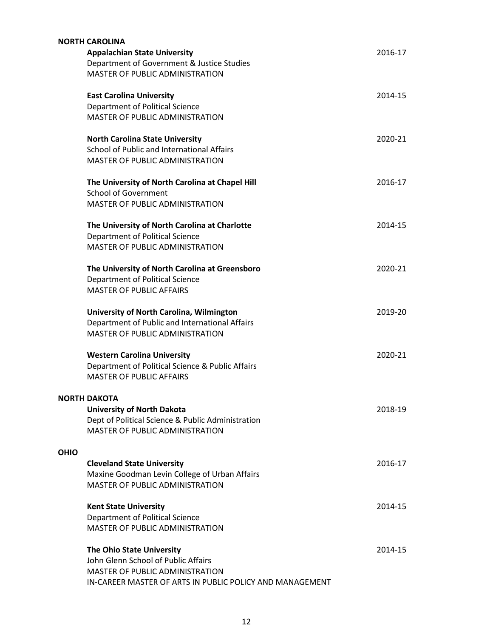| <b>NORTH CAROLINA</b><br><b>Appalachian State University</b><br>Department of Government & Justice Studies<br><b>MASTER OF PUBLIC ADMINISTRATION</b>                   | 2016-17 |
|------------------------------------------------------------------------------------------------------------------------------------------------------------------------|---------|
| <b>East Carolina University</b><br>Department of Political Science<br><b>MASTER OF PUBLIC ADMINISTRATION</b>                                                           | 2014-15 |
| <b>North Carolina State University</b><br>School of Public and International Affairs<br><b>MASTER OF PUBLIC ADMINISTRATION</b>                                         | 2020-21 |
| The University of North Carolina at Chapel Hill<br><b>School of Government</b><br><b>MASTER OF PUBLIC ADMINISTRATION</b>                                               | 2016-17 |
| The University of North Carolina at Charlotte<br>Department of Political Science<br><b>MASTER OF PUBLIC ADMINISTRATION</b>                                             | 2014-15 |
| The University of North Carolina at Greensboro<br>Department of Political Science<br><b>MASTER OF PUBLIC AFFAIRS</b>                                                   | 2020-21 |
| University of North Carolina, Wilmington<br>Department of Public and International Affairs<br><b>MASTER OF PUBLIC ADMINISTRATION</b>                                   | 2019-20 |
| <b>Western Carolina University</b><br>Department of Political Science & Public Affairs<br><b>MASTER OF PUBLIC AFFAIRS</b>                                              | 2020-21 |
| <b>NORTH DAKOTA</b><br><b>University of North Dakota</b><br>Dept of Political Science & Public Administration<br>MASTER OF PUBLIC ADMINISTRATION                       | 2018-19 |
| <b>OHIO</b><br><b>Cleveland State University</b><br>Maxine Goodman Levin College of Urban Affairs<br>MASTER OF PUBLIC ADMINISTRATION                                   | 2016-17 |
| <b>Kent State University</b><br>Department of Political Science<br>MASTER OF PUBLIC ADMINISTRATION                                                                     | 2014-15 |
| The Ohio State University<br>John Glenn School of Public Affairs<br><b>MASTER OF PUBLIC ADMINISTRATION</b><br>IN-CAREER MASTER OF ARTS IN PUBLIC POLICY AND MANAGEMENT | 2014-15 |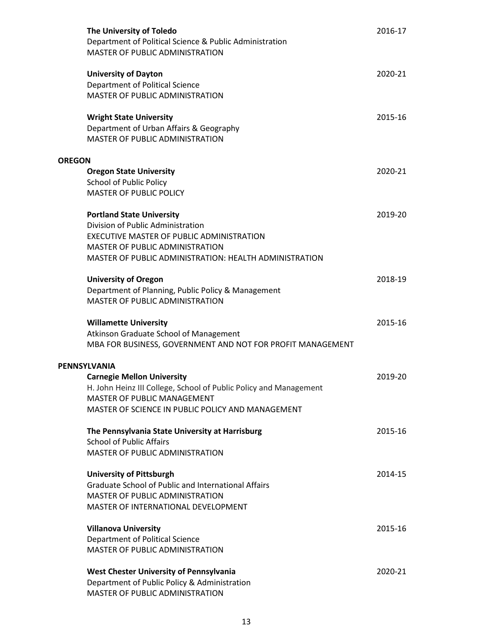|               | The University of Toledo<br>Department of Political Science & Public Administration<br>MASTER OF PUBLIC ADMINISTRATION                                                                                                   | 2016-17 |
|---------------|--------------------------------------------------------------------------------------------------------------------------------------------------------------------------------------------------------------------------|---------|
|               | <b>University of Dayton</b><br>Department of Political Science<br>MASTER OF PUBLIC ADMINISTRATION                                                                                                                        | 2020-21 |
|               | <b>Wright State University</b><br>Department of Urban Affairs & Geography<br>MASTER OF PUBLIC ADMINISTRATION                                                                                                             | 2015-16 |
| <b>OREGON</b> |                                                                                                                                                                                                                          |         |
|               | <b>Oregon State University</b><br><b>School of Public Policy</b><br><b>MASTER OF PUBLIC POLICY</b>                                                                                                                       | 2020-21 |
|               | <b>Portland State University</b><br>Division of Public Administration                                                                                                                                                    | 2019-20 |
|               | EXECUTIVE MASTER OF PUBLIC ADMINISTRATION<br><b>MASTER OF PUBLIC ADMINISTRATION</b><br>MASTER OF PUBLIC ADMINISTRATION: HEALTH ADMINISTRATION                                                                            |         |
|               | <b>University of Oregon</b><br>Department of Planning, Public Policy & Management<br><b>MASTER OF PUBLIC ADMINISTRATION</b>                                                                                              | 2018-19 |
|               | <b>Willamette University</b><br>Atkinson Graduate School of Management<br>MBA FOR BUSINESS, GOVERNMENT AND NOT FOR PROFIT MANAGEMENT                                                                                     | 2015-16 |
|               |                                                                                                                                                                                                                          |         |
|               | <b>PENNSYLVANIA</b><br><b>Carnegie Mellon University</b><br>H. John Heinz III College, School of Public Policy and Management<br><b>MASTER OF PUBLIC MANAGEMENT</b><br>MASTER OF SCIENCE IN PUBLIC POLICY AND MANAGEMENT | 2019-20 |
|               | The Pennsylvania State University at Harrisburg<br><b>School of Public Affairs</b><br>MASTER OF PUBLIC ADMINISTRATION                                                                                                    | 2015-16 |
|               | <b>University of Pittsburgh</b><br>Graduate School of Public and International Affairs<br><b>MASTER OF PUBLIC ADMINISTRATION</b><br>MASTER OF INTERNATIONAL DEVELOPMENT                                                  | 2014-15 |
|               | <b>Villanova University</b><br>Department of Political Science<br><b>MASTER OF PUBLIC ADMINISTRATION</b>                                                                                                                 | 2015-16 |
|               | West Chester University of Pennsylvania<br>Department of Public Policy & Administration<br>MASTER OF PUBLIC ADMINISTRATION                                                                                               | 2020-21 |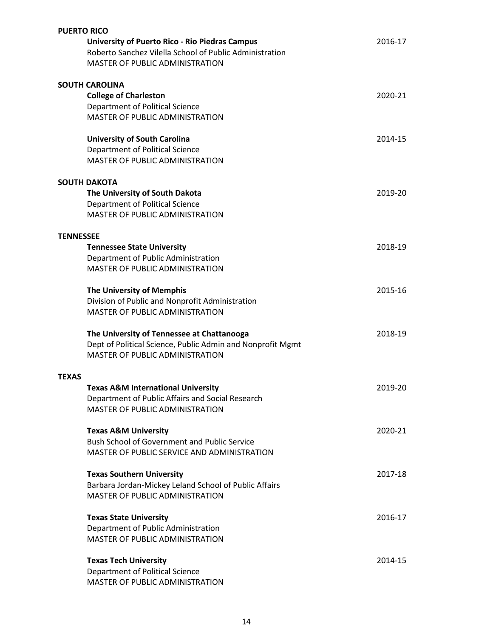| <b>PUERTO RICO</b> |                                                            |         |  |
|--------------------|------------------------------------------------------------|---------|--|
|                    | <b>University of Puerto Rico - Rio Piedras Campus</b>      | 2016-17 |  |
|                    | Roberto Sanchez Vilella School of Public Administration    |         |  |
|                    | MASTER OF PUBLIC ADMINISTRATION                            |         |  |
|                    |                                                            |         |  |
|                    | <b>SOUTH CAROLINA</b>                                      |         |  |
|                    | <b>College of Charleston</b>                               | 2020-21 |  |
|                    | <b>Department of Political Science</b>                     |         |  |
|                    | MASTER OF PUBLIC ADMINISTRATION                            |         |  |
|                    |                                                            |         |  |
|                    | <b>University of South Carolina</b>                        | 2014-15 |  |
|                    | Department of Political Science                            |         |  |
|                    | MASTER OF PUBLIC ADMINISTRATION                            |         |  |
|                    |                                                            |         |  |
|                    | <b>SOUTH DAKOTA</b>                                        |         |  |
|                    |                                                            | 2019-20 |  |
|                    | The University of South Dakota                             |         |  |
|                    | Department of Political Science                            |         |  |
|                    | MASTER OF PUBLIC ADMINISTRATION                            |         |  |
|                    |                                                            |         |  |
| <b>TENNESSEE</b>   |                                                            |         |  |
|                    | <b>Tennessee State University</b>                          | 2018-19 |  |
|                    | Department of Public Administration                        |         |  |
|                    | MASTER OF PUBLIC ADMINISTRATION                            |         |  |
|                    |                                                            |         |  |
|                    | The University of Memphis                                  | 2015-16 |  |
|                    | Division of Public and Nonprofit Administration            |         |  |
|                    | MASTER OF PUBLIC ADMINISTRATION                            |         |  |
|                    |                                                            |         |  |
|                    | The University of Tennessee at Chattanooga                 | 2018-19 |  |
|                    | Dept of Political Science, Public Admin and Nonprofit Mgmt |         |  |
|                    | <b>MASTER OF PUBLIC ADMINISTRATION</b>                     |         |  |
|                    |                                                            |         |  |
| <b>TEXAS</b>       |                                                            |         |  |
|                    | <b>Texas A&amp;M International University</b>              | 2019-20 |  |
|                    | Department of Public Affairs and Social Research           |         |  |
|                    | <b>MASTER OF PUBLIC ADMINISTRATION</b>                     |         |  |
|                    |                                                            |         |  |
|                    | <b>Texas A&amp;M University</b>                            | 2020-21 |  |
|                    | <b>Bush School of Government and Public Service</b>        |         |  |
|                    | MASTER OF PUBLIC SERVICE AND ADMINISTRATION                |         |  |
|                    |                                                            |         |  |
|                    | <b>Texas Southern University</b>                           | 2017-18 |  |
|                    | Barbara Jordan-Mickey Leland School of Public Affairs      |         |  |
|                    | <b>MASTER OF PUBLIC ADMINISTRATION</b>                     |         |  |
|                    |                                                            |         |  |
|                    | <b>Texas State University</b>                              | 2016-17 |  |
|                    | Department of Public Administration                        |         |  |
|                    | MASTER OF PUBLIC ADMINISTRATION                            |         |  |
|                    |                                                            |         |  |
|                    | <b>Texas Tech University</b>                               | 2014-15 |  |
|                    | Department of Political Science                            |         |  |
|                    | MASTER OF PUBLIC ADMINISTRATION                            |         |  |
|                    |                                                            |         |  |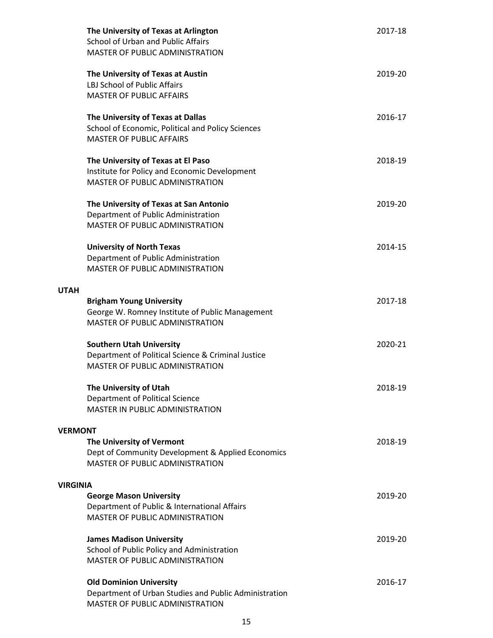|                 | The University of Texas at Arlington<br>School of Urban and Public Affairs<br><b>MASTER OF PUBLIC ADMINISTRATION</b>          | 2017-18 |
|-----------------|-------------------------------------------------------------------------------------------------------------------------------|---------|
|                 | The University of Texas at Austin<br><b>LBJ School of Public Affairs</b><br><b>MASTER OF PUBLIC AFFAIRS</b>                   | 2019-20 |
|                 | The University of Texas at Dallas<br>School of Economic, Political and Policy Sciences<br><b>MASTER OF PUBLIC AFFAIRS</b>     | 2016-17 |
|                 | The University of Texas at El Paso<br>Institute for Policy and Economic Development<br><b>MASTER OF PUBLIC ADMINISTRATION</b> | 2018-19 |
|                 | The University of Texas at San Antonio<br>Department of Public Administration<br>MASTER OF PUBLIC ADMINISTRATION              | 2019-20 |
|                 | <b>University of North Texas</b><br>Department of Public Administration<br>MASTER OF PUBLIC ADMINISTRATION                    | 2014-15 |
| <b>UTAH</b>     |                                                                                                                               |         |
|                 | <b>Brigham Young University</b><br>George W. Romney Institute of Public Management<br>MASTER OF PUBLIC ADMINISTRATION         | 2017-18 |
|                 | <b>Southern Utah University</b><br>Department of Political Science & Criminal Justice<br>MASTER OF PUBLIC ADMINISTRATION      | 2020-21 |
|                 | The University of Utah<br>Department of Political Science<br><b>MASTER IN PUBLIC ADMINISTRATION</b>                           | 2018-19 |
| <b>VERMONT</b>  |                                                                                                                               |         |
|                 | The University of Vermont<br>Dept of Community Development & Applied Economics<br>MASTER OF PUBLIC ADMINISTRATION             | 2018-19 |
| <b>VIRGINIA</b> |                                                                                                                               |         |
|                 | <b>George Mason University</b><br>Department of Public & International Affairs<br>MASTER OF PUBLIC ADMINISTRATION             | 2019-20 |
|                 | <b>James Madison University</b><br>School of Public Policy and Administration<br><b>MASTER OF PUBLIC ADMINISTRATION</b>       | 2019-20 |
|                 | <b>Old Dominion University</b><br>Department of Urban Studies and Public Administration<br>MASTER OF PUBLIC ADMINISTRATION    | 2016-17 |